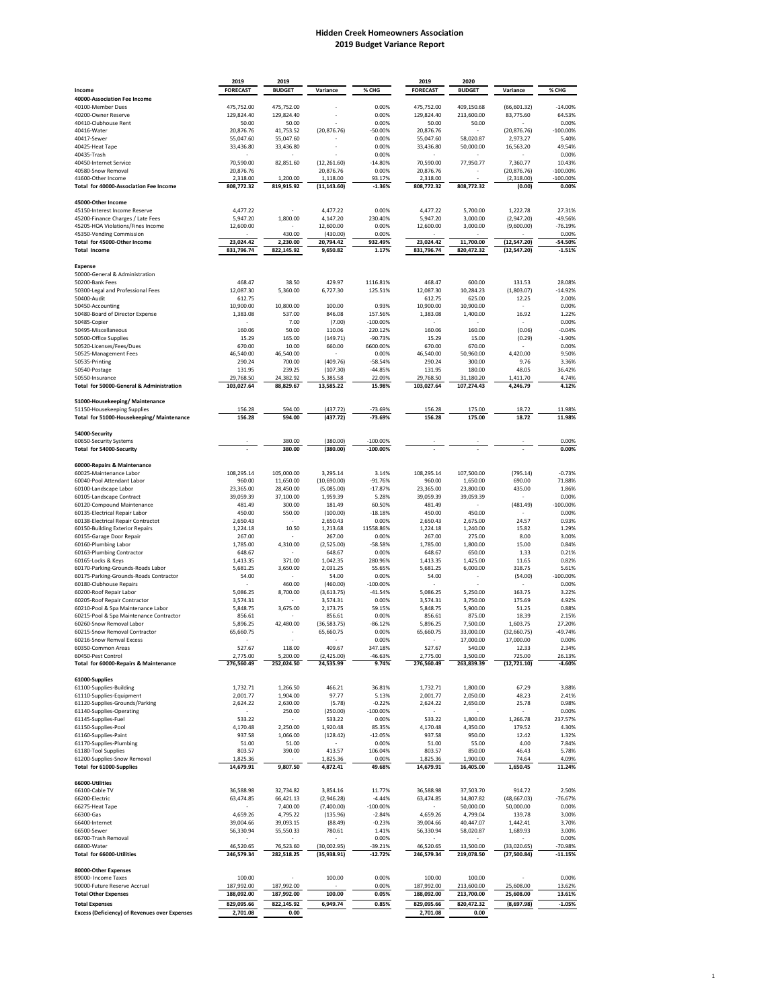## **Hidden Creek Homeowners Association 2020 Budget Variance Report**

|                                                                             | 2019                   | 2019                   |                           |                            | 2019                   | 2020                   |                                   |                      |
|-----------------------------------------------------------------------------|------------------------|------------------------|---------------------------|----------------------------|------------------------|------------------------|-----------------------------------|----------------------|
| Income                                                                      | <b>FORECAST</b>        | <b>BUDGET</b>          | Variance                  | % CHG                      | <b>FORECAST</b>        | <b>BUDGET</b>          | Variance                          | % CHG                |
| 40000-Association Fee Income<br>40100-Member Dues                           | 475,752.00             | 475,752.00             |                           | 0.00%                      | 475,752.00             | 409,150.68             | (66, 601.32)                      | $-14.00%$            |
| 40200-Owner Reserve                                                         | 129,824.40             | 129,824.40             |                           | 0.00%                      | 129,824.40             | 213,600.00             | 83,775.60                         | 64.53%               |
| 40410-Clubhouse Rent                                                        | 50.00                  | 50.00                  |                           | 0.00%                      | 50.00                  | 50.00                  |                                   | 0.00%                |
| 40416-Water                                                                 | 20,876.76              | 41,753.52              | (20, 876.76)              | $-50.00%$                  | 20,876.76              |                        | (20, 876.76)                      | $-100.00\%$          |
| 40417-Sewer<br>40425-Heat Tape                                              | 55,047.60<br>33,436.80 | 55,047.60<br>33,436.80 |                           | 0.00%<br>0.00%             | 55,047.60<br>33,436.80 | 58,020.87<br>50,000.00 | 2,973.27<br>16,563.20             | 5.40%<br>49.54%      |
| 40435-Trash                                                                 |                        |                        |                           | 0.00%                      |                        |                        |                                   | 0.00%                |
| 40450-Internet Service                                                      | 70,590.00              | 82,851.60              | (12, 261.60)              | $-14.80%$                  | 70,590.00              | 77,950.77              | 7,360.77                          | 10.43%               |
| 40580-Snow Removal                                                          | 20,876.76              |                        | 20,876.76                 | 0.00%                      | 20,876.76              |                        | (20, 876.76)                      | $-100.00\%$          |
| 41600-Other Income<br>Total for 40000-Association Fee Income                | 2,318.00<br>808,772.32 | 1,200.00<br>819,915.92 | 1,118.00<br>(11, 143.60)  | 93.17%<br>$-1.36%$         | 2,318.00<br>808,772.32 | 808,772.32             | (2,318.00)<br>(0.00)              | $-100.00\%$<br>0.00% |
|                                                                             |                        |                        |                           |                            |                        |                        |                                   |                      |
| 45000-Other Income                                                          |                        |                        |                           |                            |                        |                        |                                   |                      |
| 45150-Interest Income Reserve                                               | 4,477.22               |                        | 4,477.22                  | 0.00%                      | 4,477.22               | 5,700.00               | 1,222.78                          | 27.31%               |
| 45200-Finance Charges / Late Fees                                           | 5,947.20               | 1,800.00               | 4,147.20                  | 230.40%                    | 5,947.20               | 3,000.00               | (2,947.20)                        | -49.56%              |
| 45205-HOA Violations/Fines Income<br>45350-Vending Commission               | 12,600.00              | 430.00                 | 12,600.00<br>(430.00)     | 0.00%<br>0.00%             | 12,600.00              | 3,000.00               | (9,600.00)                        | $-76.19%$<br>0.00%   |
| Total for 45000-Other Income                                                | 23,024.42              | 2,230.00               | 20,794.42                 | 932.49%                    | 23,024.42              | 11,700.00              | (12,547.20)                       | $-54.50%$            |
| <b>Total Income</b>                                                         | 831,796.74             | 822,145.92             | 9,650.82                  | 1.17%                      | 831,796.74             | 820,472.32             | (12,547.20)                       | $-1.51%$             |
|                                                                             |                        |                        |                           |                            |                        |                        |                                   |                      |
| <b>Expense</b><br>50000-General & Administration                            |                        |                        |                           |                            |                        |                        |                                   |                      |
| 50200-Bank Fees                                                             | 468.47                 | 38.50                  | 429.97                    | 1116.81%                   | 468.47                 | 600.00                 | 131.53                            | 28.08%               |
| 50300-Legal and Professional Fees                                           | 12,087.30              | 5,360.00               | 6,727.30                  | 125.51%                    | 12,087.30              | 10,284.23              | (1,803.07)                        | $-14.92%$            |
| 50400-Audit                                                                 | 612.75                 |                        |                           |                            | 612.75                 | 625.00                 | 12.25                             | 2.00%                |
| 50450-Accounting<br>50480-Board of Director Expense                         | 10,900.00              | 10,800.00<br>537.00    | 100.00<br>846.08          | 0.93%<br>157.56%           | 10,900.00              | 10,900.00              |                                   | 0.00%<br>1.22%       |
| 50485-Copier                                                                | 1,383.08               | 7.00                   | (7.00)                    | $-100.00\%$                | 1,383.08               | 1,400.00               | 16.92<br>$\overline{\phantom{a}}$ | 0.00%                |
| 50495-Miscellaneous                                                         | 160.06                 | 50.00                  | 110.06                    | 220.12%                    | 160.06                 | 160.00                 | (0.06)                            | $-0.04%$             |
| 50500-Office Supplies                                                       | 15.29                  | 165.00                 | (149.71)                  | $-90.73%$                  | 15.29                  | 15.00                  | (0.29)                            | $-1.90%$             |
| 50520-Licenses/Fees/Dues                                                    | 670.00                 | 10.00                  | 660.00                    | 6600.00%                   | 670.00                 | 670.00                 |                                   | 0.00%                |
| 50525-Management Fees<br>50535-Printing                                     | 46,540.00<br>290.24    | 46,540.00<br>700.00    | (409.76)                  | 0.00%<br>$-58.54%$         | 46,540.00<br>290.24    | 50,960.00<br>300.00    | 4,420.00<br>9.76                  | 9.50%<br>3.36%       |
| 50540-Postage                                                               | 131.95                 | 239.25                 | (107.30)                  | $-44.85%$                  | 131.95                 | 180.00                 | 48.05                             | 36.42%               |
| 50550-Insurance                                                             | 29,768.50              | 24,382.92              | 5,385.58                  | 22.09%                     | 29,768.50              | 31,180.20              | 1,411.70                          | 4.74%                |
| Total for 50000-General & Administration                                    | 103,027.64             | 88,829.67              | 13,585.22                 | 15.98%                     | 103,027.64             | 107,274.43             | 4,246.79                          | 4.12%                |
| 51000-Housekeeping/Maintenance                                              |                        |                        |                           |                            |                        |                        |                                   |                      |
| 51150-Housekeeping Supplies                                                 | 156.28                 | 594.00                 | (437.72)                  | $-73.69%$                  | 156.28                 | 175.00                 | 18.72                             | 11.98%               |
| Total for 51000-Housekeeping/Maintenance                                    | 156.28                 | 594.00                 | (437.72)                  | -73.69%                    | 156.28                 | 175.00                 | 18.72                             | 11.98%               |
|                                                                             |                        |                        |                           |                            |                        |                        |                                   |                      |
| 54000-Security                                                              |                        |                        |                           |                            |                        |                        |                                   |                      |
| 60650-Security Systems<br>Total for 54000-Security                          |                        | 380.00<br>380.00       | (380.00)<br>(380.00)      | $-100.00\%$<br>$-100.00\%$ |                        |                        |                                   | 0.00%<br>0.00%       |
|                                                                             |                        |                        |                           |                            |                        |                        |                                   |                      |
| 60000-Repairs & Maintenance                                                 |                        |                        |                           |                            |                        |                        |                                   |                      |
| 60025-Maintenance Labor                                                     | 108,295.14             | 105,000.00             | 3,295.14                  | 3.14%                      | 108,295.14             | 107,500.00             | (795.14)                          | $-0.73%$             |
| 60040-Pool Attendant Labor<br>60100-Landscape Labor                         | 960.00<br>23,365.00    | 11,650.00<br>28,450.00 | (10,690.00)<br>(5,085.00) | $-91.76%$<br>$-17.87%$     | 960.00<br>23,365.00    | 1,650.00<br>23,800.00  | 690.00<br>435.00                  | 71.88%<br>1.86%      |
| 60105-Landscape Contract                                                    | 39,059.39              | 37,100.00              | 1,959.39                  | 5.28%                      | 39,059.39              | 39,059.39              | $\overline{\phantom{a}}$          | 0.00%                |
| 60120-Compound Maintenance                                                  | 481.49                 | 300.00                 | 181.49                    | 60.50%                     | 481.49                 |                        | (481.49)                          | $-100.00\%$          |
| 60135-Electrical Repair Labor                                               | 450.00                 | 550.00                 | (100.00)                  | $-18.18%$                  | 450.00                 | 450.00                 |                                   | 0.00%                |
| 60138-Electrical Repair Contractot                                          | 2,650.43               |                        | 2,650.43                  | 0.00%                      | 2,650.43               | 2,675.00               | 24.57                             | 0.93%                |
| 60150-Building Exterior Repairs<br>60155-Garage Door Repair                 | 1,224.18<br>267.00     | 10.50                  | 1,213.68<br>267.00        | 11558.86%<br>0.00%         | 1,224.18<br>267.00     | 1,240.00<br>275.00     | 15.82<br>8.00                     | 1.29%<br>3.00%       |
| 60160-Plumbing Labor                                                        | 1,785.00               | 4,310.00               | (2,525.00)                | $-58.58%$                  | 1,785.00               | 1,800.00               | 15.00                             | 0.84%                |
| 60163-Plumbing Contractor                                                   | 648.67                 |                        | 648.67                    | 0.00%                      | 648.67                 | 650.00                 | 1.33                              | 0.21%                |
| 60165-Locks & Keys                                                          | 1,413.35               | 371.00                 | 1,042.35                  | 280.96%                    | 1,413.35               | 1,425.00               | 11.65                             | 0.82%                |
| 60170-Parking-Grounds-Roads Labor<br>60175-Parking-Grounds-Roads Contractor | 5,681.25<br>54.00      | 3,650.00               | 2,031.25<br>54.00         | 55.65%<br>0.00%            | 5,681.25<br>54.00      | 6,000.00               | 318.75<br>(54.00)                 | 5.61%<br>$-100.00\%$ |
| 60180-Clubhouse Repairs                                                     |                        | 460.00                 | (460.00)                  | $-100.00\%$                |                        |                        |                                   | 0.00%                |
| 60200-Roof Repair Labor                                                     | 5,086.25               | 8,700.00               | (3,613.75)                | $-41.54%$                  | 5,086.25               | 5,250.00               | 163.75                            | 3.22%                |
| 60205-Roof Repair Contractor                                                | 3,574.31               |                        | 3,574.31                  | 0.00%                      | 3,574.31               | 3,750.00               | 175.69                            | 4.92%                |
| 60210-Pool & Spa Maintenance Labor                                          | 5,848.75               | 3,675.00               | 2,173.75                  | 59.15%                     | 5,848.75               | 5,900.00               | 51.25                             | 0.88%                |
| 60215-Pool & Spa Maintenance Contractor<br>60260-Snow Removal Labor         | 856.61<br>5,896.25     | 42,480.00              | 856.61<br>(36, 583.75)    | 0.00%<br>$-86.12%$         | 856.61<br>5,896.25     | 875.00<br>7,500.00     | 18.39<br>1,603.75                 | 2.15%<br>27.20%      |
| 60215-Snow Removal Contractor                                               | 65,660.75              |                        | 65,660.75                 | 0.00%                      | 65,660.75              | 33,000.00              | (32,660.75)                       | $-49.74%$            |
| 60216-Snow Remval Excess                                                    |                        |                        |                           | 0.00%                      |                        | 17,000.00              | 17,000.00                         | 0.00%                |
| 60350-Common Areas                                                          | 527.67                 | 118.00                 | 409.67                    | 347.18%                    | 527.67                 | 540.00                 | 12.33                             | 2.34%                |
| 60450-Pest Control<br>Total for 60000-Repairs & Maintenance                 | 2,775.00<br>276,560.49 | 5,200.00<br>252,024.50 | (2,425.00)<br>24,535.99   | -46.63%<br>9.74%           | 2,775.00<br>276,560.49 | 3,500.00<br>263,839.39 | 725.00<br>(12,721.10)             | 26.13%<br>$-4.60%$   |
|                                                                             |                        |                        |                           |                            |                        |                        |                                   |                      |
| 61000-Supplies                                                              |                        |                        |                           |                            |                        |                        |                                   |                      |
| 61100-Supplies-Building                                                     | 1,732.71               | 1,266.50               | 466.21                    | 36.81%                     | 1,732.71               | 1,800.00               | 67.29                             | 3.88%                |
| 61110-Supplies-Equipment<br>61120-Supplies-Grounds/Parking                  | 2,001.77<br>2,624.22   | 1,904.00<br>2,630.00   | 97.77<br>(5.78)           | 5.13%<br>$-0.22%$          | 2,001.77<br>2,624.22   | 2,050.00<br>2,650.00   | 48.23<br>25.78                    | 2.41%<br>0.98%       |
| 61140-Supplies-Operating                                                    |                        | 250.00                 | (250.00)                  | $-100.00\%$                |                        |                        |                                   | 0.00%                |
| 61145-Supplies-Fuel                                                         | 533.22                 |                        | 533.22                    | 0.00%                      | 533.22                 | 1,800.00               | 1,266.78                          | 237.57%              |
| 61150-Supplies-Pool                                                         | 4,170.48               | 2,250.00               | 1,920.48                  | 85.35%                     | 4,170.48               | 4,350.00               | 179.52                            | 4.30%                |
| 61160-Supplies-Paint<br>61170-Supplies-Plumbing                             | 937.58<br>51.00        | 1,066.00<br>51.00      | (128.42)                  | $-12.05%$<br>0.00%         | 937.58<br>51.00        | 950.00<br>55.00        | 12.42<br>4.00                     | 1.32%<br>7.84%       |
| 61180-Tool Supplies                                                         | 803.57                 | 390.00                 | 413.57                    | 106.04%                    | 803.57                 | 850.00                 | 46.43                             | 5.78%                |
| 61200-Supplies-Snow Removal                                                 | 1,825.36               |                        | 1,825.36                  | 0.00%                      | 1,825.36               | 1,900.00               | 74.64                             | 4.09%                |
| Total for 61000-Supplies                                                    | 14,679.91              | 9,807.50               | 4,872.41                  | 49.68%                     | 14,679.91              | 16,405.00              | 1,650.45                          | 11.24%               |
| 66000-Utilities                                                             |                        |                        |                           |                            |                        |                        |                                   |                      |
| 66100-Cable TV                                                              | 36,588.98              | 32,734.82              | 3,854.16                  | 11.77%                     | 36,588.98              | 37,503.70              | 914.72                            | 2.50%                |
| 66200-Electric                                                              | 63,474.85              | 66,421.13              | (2,946.28)                | $-4.44%$                   | 63,474.85              | 14,807.82              | (48, 667.03)                      | $-76.67%$            |
| 66275-Heat Tape                                                             |                        | 7,400.00               | (7,400.00)                | $-100.00\%$                |                        | 50,000.00              | 50,000.00                         | 0.00%                |
| 66300-Gas                                                                   | 4,659.26               | 4,795.22               | (135.96)                  | $-2.84%$                   | 4,659.26               | 4,799.04               | 139.78                            | 3.00%                |
| 66400-Internet<br>66500-Sewer                                               | 39,004.66<br>56,330.94 | 39,093.15<br>55,550.33 | (88.49)<br>780.61         | $-0.23%$<br>1.41%          | 39,004.66<br>56,330.94 | 40,447.07<br>58,020.87 | 1,442.41<br>1,689.93              | 3.70%<br>3.00%       |
| 66700-Trash Removal                                                         |                        |                        |                           | 0.00%                      |                        |                        |                                   | 0.00%                |
| 66800-Water                                                                 | 46,520.65              | 76,523.60              | (30,002.95)               | $-39.21%$                  | 46,520.65              | 13,500.00              | (33,020.65)                       | -70.98%              |
| Total for 66000-Utilities                                                   | 246,579.34             | 282,518.25             | (35, 938.91)              | $-12.72%$                  | 246,579.34             | 219,078.50             | (27,500.84)                       | $-11.15%$            |
| 80000-Other Expenses                                                        |                        |                        |                           |                            |                        |                        |                                   |                      |
| 89000- Income Taxes                                                         | 100.00                 |                        | 100.00                    | 0.00%                      | 100.00                 | 100.00                 |                                   | 0.00%                |
| 90000-Future Reserve Accrual                                                | 187,992.00             | 187,992.00             |                           | 0.00%                      | 187,992.00             | 213,600.00             | 25,608.00                         | 13.62%               |
| <b>Total Other Expenses</b>                                                 | 188,092.00             | 187,992.00             | 100.00                    | 0.05%                      | 188,092.00             | 213,700.00             | 25,608.00                         | 13.61%               |
| <b>Total Expenses</b>                                                       | 829,095.66             | 822,145.92             | 6,949.74                  | 0.85%                      | 829,095.66             | 820,472.32             | (8,697.98)                        | $-1.05%$             |
| <b>Excess (Deficiency) of Revenues over Expenses</b>                        | 2,701.08               | 0.00                   |                           |                            | 2,701.08               | 0.00                   |                                   |                      |